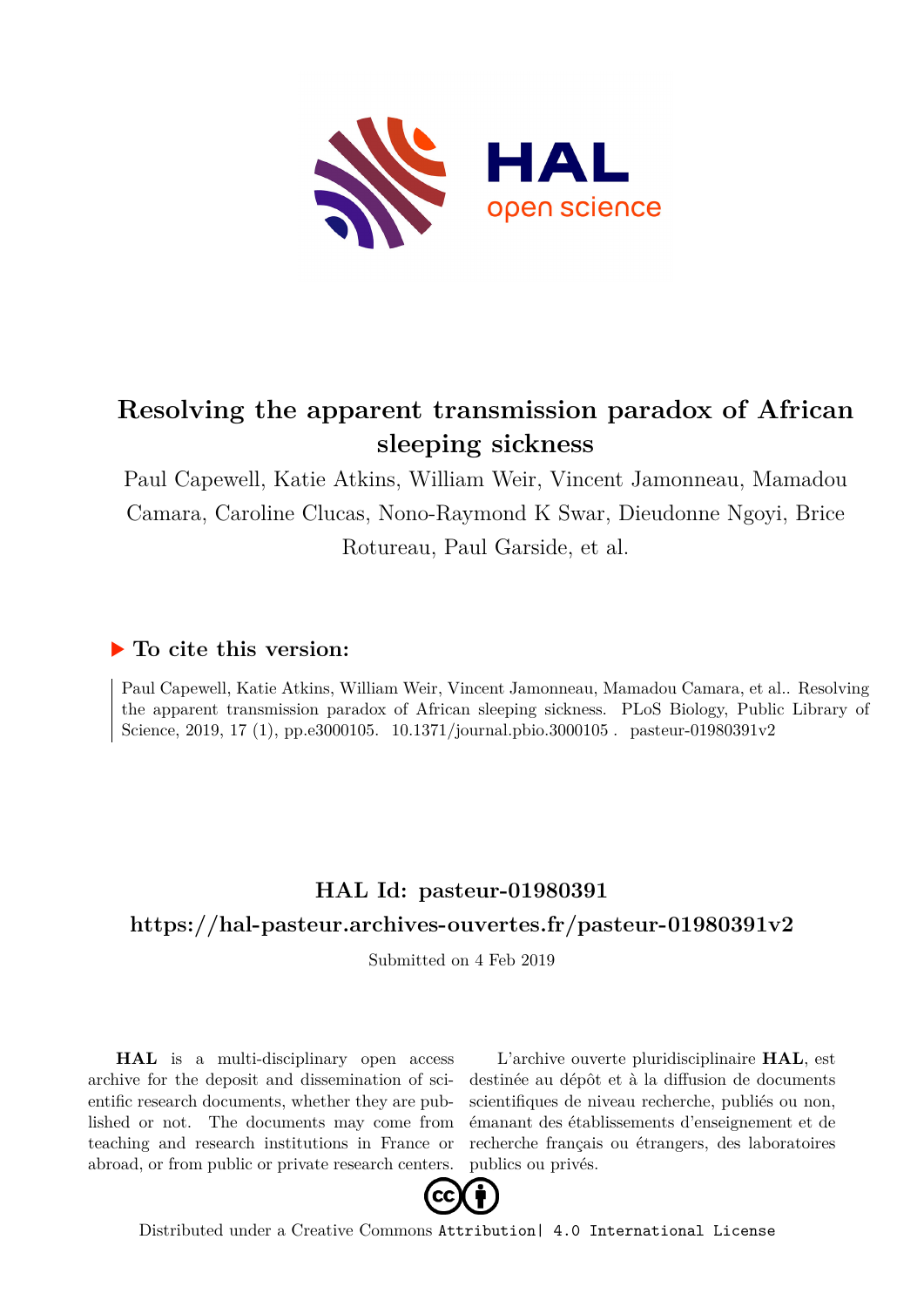

# **Resolving the apparent transmission paradox of African sleeping sickness**

Paul Capewell, Katie Atkins, William Weir, Vincent Jamonneau, Mamadou Camara, Caroline Clucas, Nono-Raymond K Swar, Dieudonne Ngoyi, Brice Rotureau, Paul Garside, et al.

#### **To cite this version:**

Paul Capewell, Katie Atkins, William Weir, Vincent Jamonneau, Mamadou Camara, et al.. Resolving the apparent transmission paradox of African sleeping sickness. PLoS Biology, Public Library of Science, 2019, 17 (1), pp.e3000105.  $10.1371/journal.pbio.3000105$ . pasteur-01980391v2

## **HAL Id: pasteur-01980391 <https://hal-pasteur.archives-ouvertes.fr/pasteur-01980391v2>**

Submitted on 4 Feb 2019

**HAL** is a multi-disciplinary open access archive for the deposit and dissemination of scientific research documents, whether they are published or not. The documents may come from teaching and research institutions in France or abroad, or from public or private research centers.

L'archive ouverte pluridisciplinaire **HAL**, est destinée au dépôt et à la diffusion de documents scientifiques de niveau recherche, publiés ou non, émanant des établissements d'enseignement et de recherche français ou étrangers, des laboratoires publics ou privés.



Distributed under a Creative Commons [Attribution| 4.0 International License](http://creativecommons.org/licenses/by/4.0/)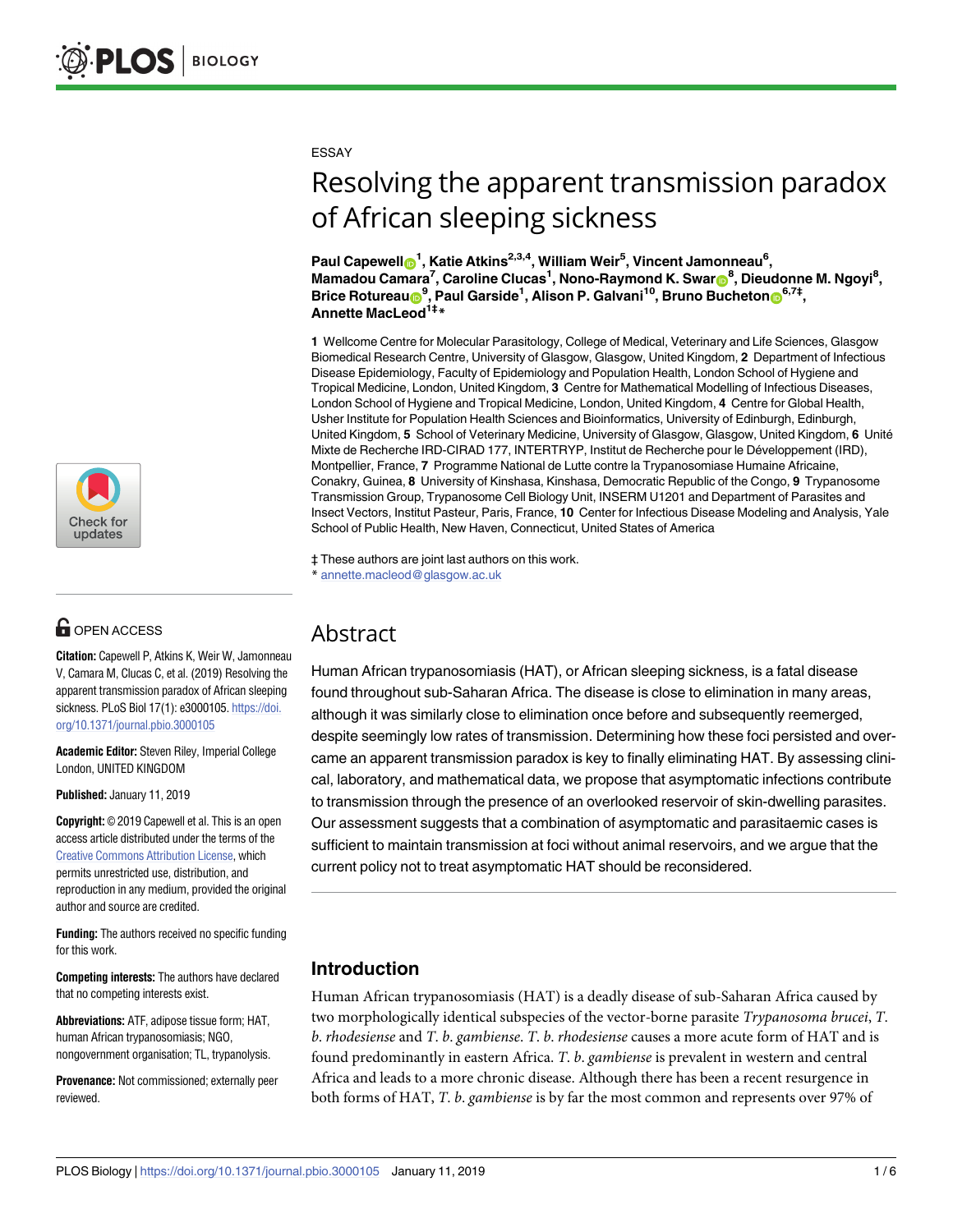

# **OPEN ACCESS**

**Citation:** Capewell P, Atkins K, Weir W, Jamonneau V, Camara M, Clucas C, et al. (2019) Resolving the apparent transmission paradox of African sleeping sickness. PLoS Biol 17(1): e3000105. [https://doi.](https://doi.org/10.1371/journal.pbio.3000105) [org/10.1371/journal.pbio.3000105](https://doi.org/10.1371/journal.pbio.3000105)

**Academic Editor:** Steven Riley, Imperial College London, UNITED KINGDOM

**Published:** January 11, 2019

**Copyright:** © 2019 Capewell et al. This is an open access article distributed under the terms of the Creative Commons [Attribution](http://creativecommons.org/licenses/by/4.0/) License, which permits unrestricted use, distribution, and reproduction in any medium, provided the original author and source are credited.

**Funding:** The authors received no specific funding for this work.

**Competing interests:** The authors have declared that no competing interests exist.

**Abbreviations:** ATF, adipose tissue form; HAT, human African trypanosomiasis; NGO, nongovernment organisation; TL, trypanolysis.

**Provenance:** Not commissioned; externally peer reviewed.

ESSAY

# Resolving the apparent transmission paradox of African sleeping sickness

 $\mathsf{Paul~Capewell} \textcircled{\textcircled{\textcirc}}^1,$  Katie Atkins<sup>2,3,4</sup>, William Weir<sup>5</sup>, Vincent Jamonneau<sup>6</sup>,  $M$ amadou Camara<sup>7</sup>, Caroline Clucas<sup>1</sup>, Nono-Raymond K. Swar $\mathbf{B}^8$ , Dieudonne M. Ngoyi<sup>8</sup>,  $B$ rice Rotureau<sup>®</sup>, Paul Garside<sup>1</sup>, Alison P. Galvani<sup>10</sup>, Bruno Bucheton<sup>®,7‡</sup>, **Annette MacLeod1‡\***

**1** Wellcome Centre for Molecular Parasitology, College of Medical, Veterinary and Life Sciences, Glasgow Biomedical Research Centre, University of Glasgow, Glasgow, United Kingdom, **2** Department of Infectious Disease Epidemiology, Faculty of Epidemiology and Population Health, London School of Hygiene and Tropical Medicine, London, United Kingdom, **3** Centre for Mathematical Modelling of Infectious Diseases, London School of Hygiene and Tropical Medicine, London, United Kingdom, **4** Centre for Global Health, Usher Institute for Population Health Sciences and Bioinformatics, University of Edinburgh, Edinburgh, United Kingdom, **5** School of Veterinary Medicine, University of Glasgow, Glasgow, United Kingdom, **6** Unite´ Mixte de Recherche IRD-CIRAD 177, INTERTRYP, Institut de Recherche pour le Développement (IRD), Montpellier, France, **7** Programme National de Lutte contre la Trypanosomiase Humaine Africaine, Conakry, Guinea, **8** University of Kinshasa, Kinshasa, Democratic Republic of the Congo, **9** Trypanosome Transmission Group, Trypanosome Cell Biology Unit, INSERM U1201 and Department of Parasites and Insect Vectors, Institut Pasteur, Paris, France, **10** Center for Infectious Disease Modeling and Analysis, Yale School of Public Health, New Haven, Connecticut, United States of America

‡ These authors are joint last authors on this work. \* annette.macleod@glasgow.ac.uk

### Abstract

Human African trypanosomiasis (HAT), or African sleeping sickness, is a fatal disease found throughout sub-Saharan Africa. The disease is close to elimination in many areas, although it was similarly close to elimination once before and subsequently reemerged, despite seemingly low rates of transmission. Determining how these foci persisted and overcame an apparent transmission paradox is key to finally eliminating HAT. By assessing clinical, laboratory, and mathematical data, we propose that asymptomatic infections contribute to transmission through the presence of an overlooked reservoir of skin-dwelling parasites. Our assessment suggests that a combination of asymptomatic and parasitaemic cases is sufficient to maintain transmission at foci without animal reservoirs, and we argue that the current policy not to treat asymptomatic HAT should be reconsidered.

#### **Introduction**

Human African trypanosomiasis (HAT) is a deadly disease of sub-Saharan Africa caused by two morphologically identical subspecies of the vector-borne parasite *Trypanosoma brucei*, *T*. *b*. *rhodesiense* and *T*. *b*. *gambiense*. *T*. *b*. *rhodesiense* causes a more acute form of HAT and is found predominantly in eastern Africa. *T*. *b*. *gambiense* is prevalent in western and central Africa and leads to a more chronic disease. Although there has been a recent resurgence in both forms of HAT, *T*. *b*. *gambiense* is by far the most common and represents over 97% of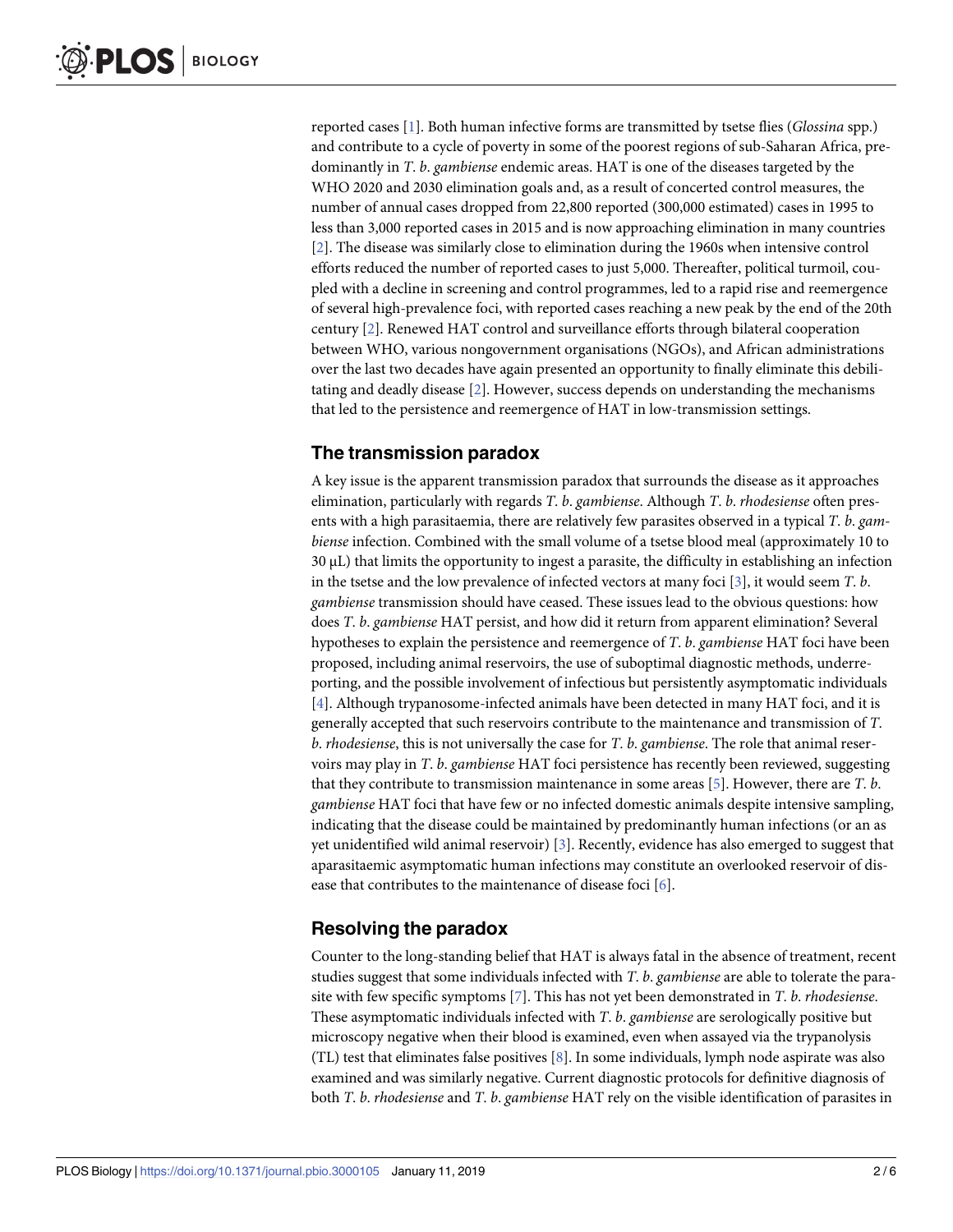reported cases [1]. Both human infective forms are transmitted by tsetse flies (*Glossina* spp.) and contribute to a cycle of poverty in some of the poorest regions of sub-Saharan Africa, predominantly in *T*. *b*. *gambiense* endemic areas. HAT is one of the diseases targeted by the WHO 2020 and 2030 elimination goals and, as a result of concerted control measures, the number of annual cases dropped from 22,800 reported (300,000 estimated) cases in 1995 to less than 3,000 reported cases in 2015 and is now approaching elimination in many countries [2]. The disease was similarly close to elimination during the 1960s when intensive control efforts reduced the number of reported cases to just 5,000. Thereafter, political turmoil, coupled with a decline in screening and control programmes, led to a rapid rise and reemergence of several high-prevalence foci, with reported cases reaching a new peak by the end of the 20th century [2]. Renewed HAT control and surveillance efforts through bilateral cooperation between WHO, various nongovernment organisations (NGOs), and African administrations over the last two decades have again presented an opportunity to finally eliminate this debilitating and deadly disease [2]. However, success depends on understanding the mechanisms that led to the persistence and reemergence of HAT in low-transmission settings.

#### **The transmission paradox**

A key issue is the apparent transmission paradox that surrounds the disease as it approaches elimination, particularly with regards *T*. *b*. *gambiense*. Although *T*. *b*. *rhodesiense* often presents with a high parasitaemia, there are relatively few parasites observed in a typical *T*. *b*. *gambiense* infection. Combined with the small volume of a tsetse blood meal (approximately 10 to 30 μL) that limits the opportunity to ingest a parasite, the difficulty in establishing an infection in the tsetse and the low prevalence of infected vectors at many foci [3], it would seem *T*. *b*. *gambiense* transmission should have ceased. These issues lead to the obvious questions: how does *T*. *b*. *gambiense* HAT persist, and how did it return from apparent elimination? Several hypotheses to explain the persistence and reemergence of *T*. *b*. *gambiense* HAT foci have been proposed, including animal reservoirs, the use of suboptimal diagnostic methods, underreporting, and the possible involvement of infectious but persistently asymptomatic individuals [4]. Although trypanosome-infected animals have been detected in many HAT foci, and it is generally accepted that such reservoirs contribute to the maintenance and transmission of *T*. *b*. *rhodesiense*, this is not universally the case for *T*. *b*. *gambiense*. The role that animal reservoirs may play in *T*. *b*. *gambiense* HAT foci persistence has recently been reviewed, suggesting that they contribute to transmission maintenance in some areas [5]. However, there are *T*. *b*. *gambiense* HAT foci that have few or no infected domestic animals despite intensive sampling, indicating that the disease could be maintained by predominantly human infections (or an as yet unidentified wild animal reservoir) [3]. Recently, evidence has also emerged to suggest that aparasitaemic asymptomatic human infections may constitute an overlooked reservoir of disease that contributes to the maintenance of disease foci [6].

#### **Resolving the paradox**

Counter to the long-standing belief that HAT is always fatal in the absence of treatment, recent studies suggest that some individuals infected with *T*. *b*. *gambiense* are able to tolerate the parasite with few specific symptoms [7]. This has not yet been demonstrated in *T*. *b*. *rhodesiense*. These asymptomatic individuals infected with *T*. *b*. *gambiense* are serologically positive but microscopy negative when their blood is examined, even when assayed via the trypanolysis (TL) test that eliminates false positives [8]. In some individuals, lymph node aspirate was also examined and was similarly negative. Current diagnostic protocols for definitive diagnosis of both *T*. *b*. *rhodesiense* and *T*. *b*. *gambiense* HAT rely on the visible identification of parasites in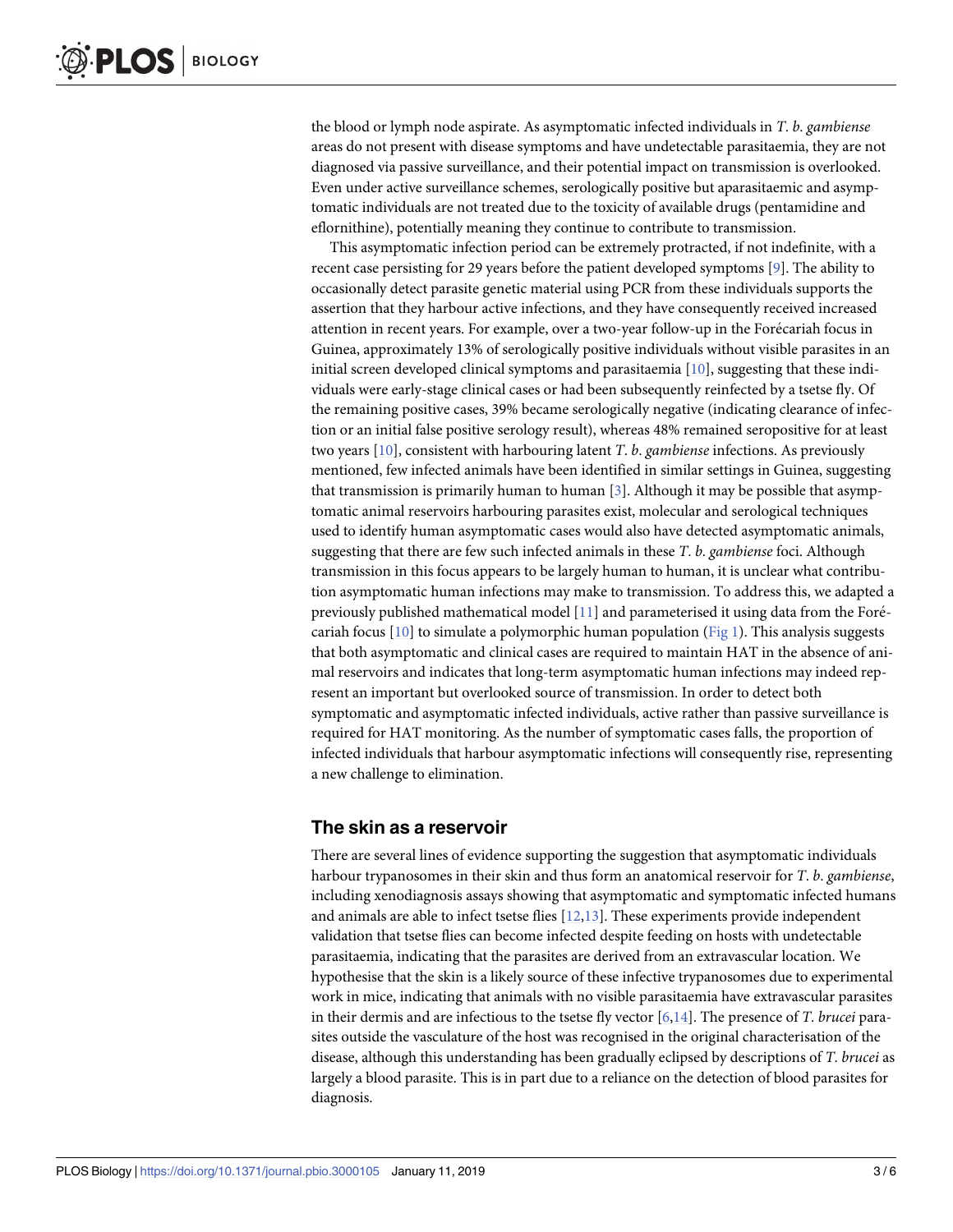the blood or lymph node aspirate. As asymptomatic infected individuals in *T*. *b*. *gambiense* areas do not present with disease symptoms and have undetectable parasitaemia, they are not diagnosed via passive surveillance, and their potential impact on transmission is overlooked. Even under active surveillance schemes, serologically positive but aparasitaemic and asymptomatic individuals are not treated due to the toxicity of available drugs (pentamidine and eflornithine), potentially meaning they continue to contribute to transmission.

This asymptomatic infection period can be extremely protracted, if not indefinite, with a recent case persisting for 29 years before the patient developed symptoms [9]. The ability to occasionally detect parasite genetic material using PCR from these individuals supports the assertion that they harbour active infections, and they have consequently received increased attention in recent years. For example, over a two-year follow-up in the Forécariah focus in Guinea, approximately 13% of serologically positive individuals without visible parasites in an initial screen developed clinical symptoms and parasitaemia [10], suggesting that these individuals were early-stage clinical cases or had been subsequently reinfected by a tsetse fly. Of the remaining positive cases, 39% became serologically negative (indicating clearance of infection or an initial false positive serology result), whereas 48% remained seropositive for at least two years [10], consistent with harbouring latent *T*. *b*. *gambiense* infections. As previously mentioned, few infected animals have been identified in similar settings in Guinea, suggesting that transmission is primarily human to human [3]. Although it may be possible that asymptomatic animal reservoirs harbouring parasites exist, molecular and serological techniques used to identify human asymptomatic cases would also have detected asymptomatic animals, suggesting that there are few such infected animals in these *T*. *b*. *gambiense* foci. Although transmission in this focus appears to be largely human to human, it is unclear what contribution asymptomatic human infections may make to transmission. To address this, we adapted a previously published mathematical model  $[11]$  and parameterised it using data from the Forecariah focus  $[10]$  to simulate a polymorphic human population (Fig 1). This analysis suggests that both asymptomatic and clinical cases are required to maintain HAT in the absence of animal reservoirs and indicates that long-term asymptomatic human infections may indeed represent an important but overlooked source of transmission. In order to detect both symptomatic and asymptomatic infected individuals, active rather than passive surveillance is required for HAT monitoring. As the number of symptomatic cases falls, the proportion of infected individuals that harbour asymptomatic infections will consequently rise, representing a new challenge to elimination.

#### **The skin as a reservoir**

There are several lines of evidence supporting the suggestion that asymptomatic individuals harbour trypanosomes in their skin and thus form an anatomical reservoir for *T*. *b*. *gambiense*, including xenodiagnosis assays showing that asymptomatic and symptomatic infected humans and animals are able to infect tsetse flies [12,13]. These experiments provide independent validation that tsetse flies can become infected despite feeding on hosts with undetectable parasitaemia, indicating that the parasites are derived from an extravascular location. We hypothesise that the skin is a likely source of these infective trypanosomes due to experimental work in mice, indicating that animals with no visible parasitaemia have extravascular parasites in their dermis and are infectious to the tsetse fly vector [6,14]. The presence of *T*. *brucei* parasites outside the vasculature of the host was recognised in the original characterisation of the disease, although this understanding has been gradually eclipsed by descriptions of *T*. *brucei* as largely a blood parasite. This is in part due to a reliance on the detection of blood parasites for diagnosis.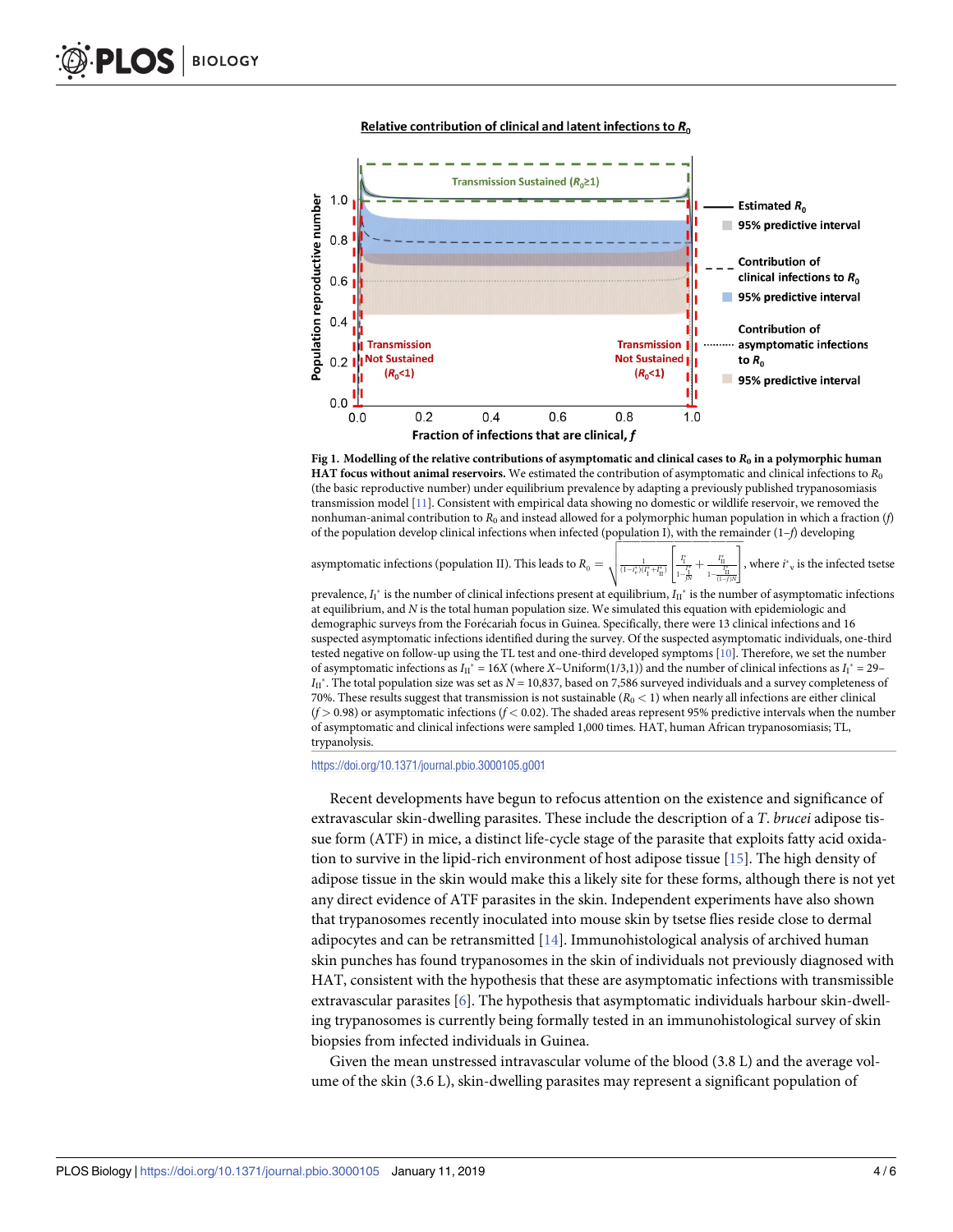



Fig 1. Modelling of the relative contributions of asymptomatic and clinical cases to  $R_0$  in a polymorphic human **HAT focus** without **animal reservoirs.** We estimated the contribution of asymptomatic and clinical infections to  $R_0$ (the basic reproductive number) under equilibrium prevalence by adapting a previously published trypanosomiasis transmission model [11]. Consistent with empirical data showing no domestic or wildlife reservoir, we removed the nonhuman-animal contribution to  $R_0$  and instead allowed for a polymorphic human population in which a fraction  $(f)$ 

of the population develop clinical infections when infected (population I), with the remainder (1–f) developing<br>asymptomatic infections (population II). This leads to  $R_0 = \sqrt{\frac{1}{(1-\epsilon^2)(T^*+\epsilon^2)}} \left[\frac{T_i}{T_c^*} + \frac{T_{\text{th}}^*}{T_c$ asymptomatic infections (population II). This leads to  $R_0$ 1  $(1 - i)$ �  $(v^*)$  $(I^*_I$  $I_I^* + I_{II}^*$  $_{\rm II}^*$ *I*� I 1 *I*� I *fN*  $+\frac{I_{\text{II}}^{*}}{I_{\text{II}}}$ II  $1 - \frac{I_1^*}{I_1}$  $\frac{H}{(1-f)N}$  $\boldsymbol{v}_\mathrm{v}$  is the infected tsetse

prevalence,  $I_I^*$  is the number of clinical infections present at equilibrium,  $I_{II}^*$  is the number of asymptomatic infections at equilibrium, and *N* is the total human population size. We simulated this equation with epidemiologic and demographic surveys from the Forécariah focus in Guinea. Specifically, there were 13 clinical infections and 16 suspected asymptomatic infections identified during the survey. Of the suspected asymptomatic individuals, one-third tested negative on follow-up using the TL test and one-third developed symptoms [10]. Therefore, we set the number of asymptomatic infections as  $I_{II}^* = 16X$  (where  $X \sim$  Uniform(1/3,1)) and the number of clinical infections as  $I_I^* = 29 I_{II}$ <sup>\*</sup>. The total population size was set as  $N = 10,837$ , based on 7,586 surveyed individuals and a survey completeness of 70%. These results suggest that transmission is not sustainable  $(R_0 < 1)$  when nearly all infections are either clinical (*f >* 0.98) or asymptomatic infections (*f <* 0.02). The shaded areas represent 95% predictive intervals when the number of asymptomatic and clinical infections were sampled 1,000 times. HAT, human African trypanosomiasis; TL, trypanolysis.

#### <https://doi.org/10.1371/journal.pbio.3000105.g001>

Recent developments have begun to refocus attention on the existence and significance of extravascular skin-dwelling parasites. These include the description of a *T*. *brucei* adipose tissue form (ATF) in mice, a distinct life-cycle stage of the parasite that exploits fatty acid oxidation to survive in the lipid-rich environment of host adipose tissue [15]. The high density of adipose tissue in the skin would make this a likely site for these forms, although there is not yet any direct evidence of ATF parasites in the skin. Independent experiments have also shown that trypanosomes recently inoculated into mouse skin by tsetse flies reside close to dermal adipocytes and can be retransmitted [14]. Immunohistological analysis of archived human skin punches has found trypanosomes in the skin of individuals not previously diagnosed with HAT, consistent with the hypothesis that these are asymptomatic infections with transmissible extravascular parasites [6]. The hypothesis that asymptomatic individuals harbour skin-dwelling trypanosomes is currently being formally tested in an immunohistological survey of skin biopsies from infected individuals in Guinea.

Given the mean unstressed intravascular volume of the blood (3.8 L) and the average volume of the skin (3.6 L), skin-dwelling parasites may represent a significant population of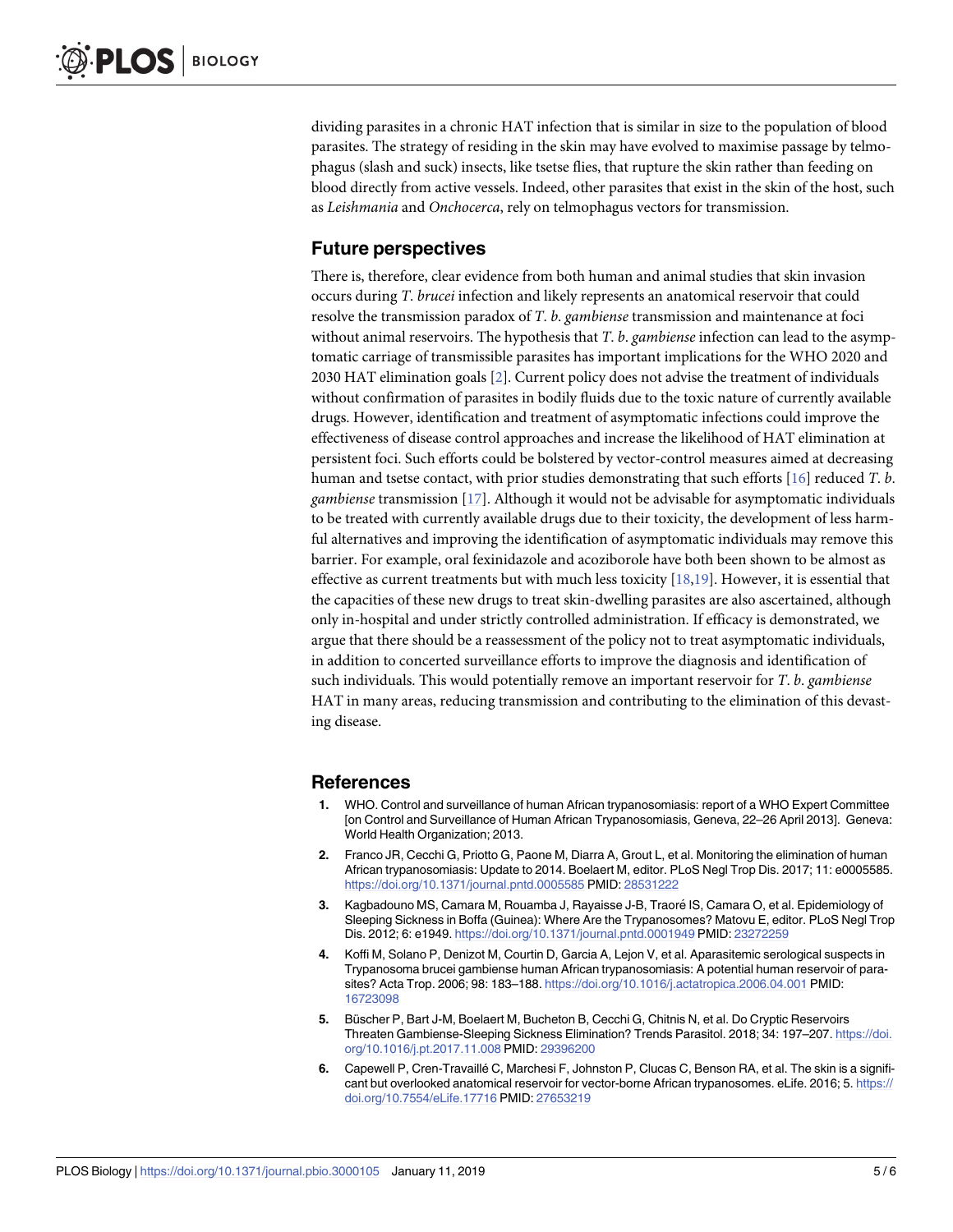dividing parasites in a chronic HAT infection that is similar in size to the population of blood parasites. The strategy of residing in the skin may have evolved to maximise passage by telmophagus (slash and suck) insects, like tsetse flies, that rupture the skin rather than feeding on blood directly from active vessels. Indeed, other parasites that exist in the skin of the host, such as *Leishmania* and *Onchocerca*, rely on telmophagus vectors for transmission.

#### **Future perspectives**

There is, therefore, clear evidence from both human and animal studies that skin invasion occurs during *T*. *brucei* infection and likely represents an anatomical reservoir that could resolve the transmission paradox of *T*. *b*. *gambiense* transmission and maintenance at foci without animal reservoirs. The hypothesis that *T*. *b*. *gambiense* infection can lead to the asymptomatic carriage of transmissible parasites has important implications for the WHO 2020 and 2030 HAT elimination goals [2]. Current policy does not advise the treatment of individuals without confirmation of parasites in bodily fluids due to the toxic nature of currently available drugs. However, identification and treatment of asymptomatic infections could improve the effectiveness of disease control approaches and increase the likelihood of HAT elimination at persistent foci. Such efforts could be bolstered by vector-control measures aimed at decreasing human and tsetse contact, with prior studies demonstrating that such efforts [16] reduced *T*. *b*. *gambiense* transmission [17]. Although it would not be advisable for asymptomatic individuals to be treated with currently available drugs due to their toxicity, the development of less harmful alternatives and improving the identification of asymptomatic individuals may remove this barrier. For example, oral fexinidazole and acoziborole have both been shown to be almost as effective as current treatments but with much less toxicity  $[18,19]$ . However, it is essential that the capacities of these new drugs to treat skin-dwelling parasites are also ascertained, although only in-hospital and under strictly controlled administration. If efficacy is demonstrated, we argue that there should be a reassessment of the policy not to treat asymptomatic individuals, in addition to concerted surveillance efforts to improve the diagnosis and identification of such individuals. This would potentially remove an important reservoir for *T*. *b*. *gambiense* HAT in many areas, reducing transmission and contributing to the elimination of this devasting disease.

#### **References**

- **1.** WHO. Control and surveillance of human African trypanosomiasis: report of a WHO Expert Committee [on Control and Surveillance of Human African Trypanosomiasis, Geneva, 22–26 April 2013]. Geneva: World Health Organization; 2013.
- **2.** Franco JR, Cecchi G, Priotto G, Paone M, Diarra A, Grout L, et al. Monitoring the elimination of human African trypanosomiasis: Update to 2014. Boelaert M, editor. PLoS Negl Trop Dis. 2017; 11: e0005585. <https://doi.org/10.1371/journal.pntd.0005585> PMID: [28531222](http://www.ncbi.nlm.nih.gov/pubmed/28531222)
- **3.** Kagbadouno MS, Camara M, Rouamba J, Rayaisse J-B, Traoré IS, Camara O, et al. Epidemiology of Sleeping Sickness in Boffa (Guinea): Where Are the Trypanosomes? Matovu E, editor. PLoS Negl Trop Dis. 2012; 6: e1949. <https://doi.org/10.1371/journal.pntd.0001949> PMID: [23272259](http://www.ncbi.nlm.nih.gov/pubmed/23272259)
- **4.** Koffi M, Solano P, Denizot M, Courtin D, Garcia A, Lejon V, et al. Aparasitemic serological suspects in Trypanosoma brucei gambiense human African trypanosomiasis: A potential human reservoir of parasites? Acta Trop. 2006; 98: 183–188. <https://doi.org/10.1016/j.actatropica.2006.04.001> PMID: [16723098](http://www.ncbi.nlm.nih.gov/pubmed/16723098)
- **5.** Büscher P, Bart J-M, Boelaert M, Bucheton B, Cecchi G, Chitnis N, et al. Do Cryptic Reservoirs Threaten Gambiense-Sleeping Sickness Elimination? Trends Parasitol. 2018; 34: 197–207. [https://doi.](https://doi.org/10.1016/j.pt.2017.11.008) [org/10.1016/j.pt.2017.11.008](https://doi.org/10.1016/j.pt.2017.11.008) PMID: [29396200](http://www.ncbi.nlm.nih.gov/pubmed/29396200)
- **6.** Capewell P, Cren-Travaillé C, Marchesi F, Johnston P, Clucas C, Benson RA, et al. The skin is a significant but overlooked anatomical reservoir for vector-borne African trypanosomes. eLife. 2016; 5. [https://](https://doi.org/10.7554/eLife.17716) [doi.org/10.7554/eLife.17716](https://doi.org/10.7554/eLife.17716) PMID: [27653219](http://www.ncbi.nlm.nih.gov/pubmed/27653219)